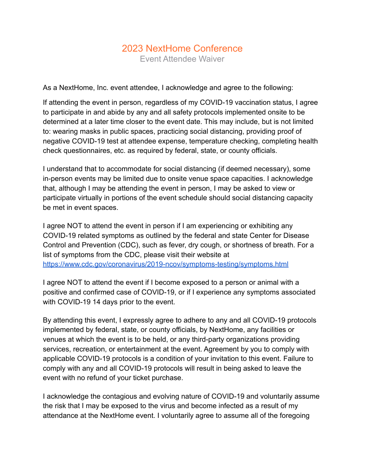## 2023 NextHome Conference Event Attendee Waiver

As a NextHome, Inc. event attendee, I acknowledge and agree to the following:

If attending the event in person, regardless of my COVID-19 vaccination status, I agree to participate in and abide by any and all safety protocols implemented onsite to be determined at a later time closer to the event date. This may include, but is not limited to: wearing masks in public spaces, practicing social distancing, providing proof of negative COVID-19 test at attendee expense, temperature checking, completing health check questionnaires, etc. as required by federal, state, or county officials.

I understand that to accommodate for social distancing (if deemed necessary), some in-person events may be limited due to onsite venue space capacities. I acknowledge that, although I may be attending the event in person, I may be asked to view or participate virtually in portions of the event schedule should social distancing capacity be met in event spaces.

I agree NOT to attend the event in person if I am experiencing or exhibiting any COVID-19 related symptoms as outlined by the federal and state Center for Disease Control and Prevention (CDC), such as fever, dry cough, or shortness of breath. For a list of symptoms from the CDC, please visit their website at <https://www.cdc.gov/coronavirus/2019-ncov/symptoms-testing/symptoms.html>

I agree NOT to attend the event if I become exposed to a person or animal with a positive and confirmed case of COVID-19, or if I experience any symptoms associated with COVID-19 14 days prior to the event.

By attending this event, I expressly agree to adhere to any and all COVID-19 protocols implemented by federal, state, or county officials, by NextHome, any facilities or venues at which the event is to be held, or any third-party organizations providing services, recreation, or entertainment at the event. Agreement by you to comply with applicable COVID-19 protocols is a condition of your invitation to this event. Failure to comply with any and all COVID-19 protocols will result in being asked to leave the event with no refund of your ticket purchase.

I acknowledge the contagious and evolving nature of COVID-19 and voluntarily assume the risk that I may be exposed to the virus and become infected as a result of my attendance at the NextHome event. I voluntarily agree to assume all of the foregoing